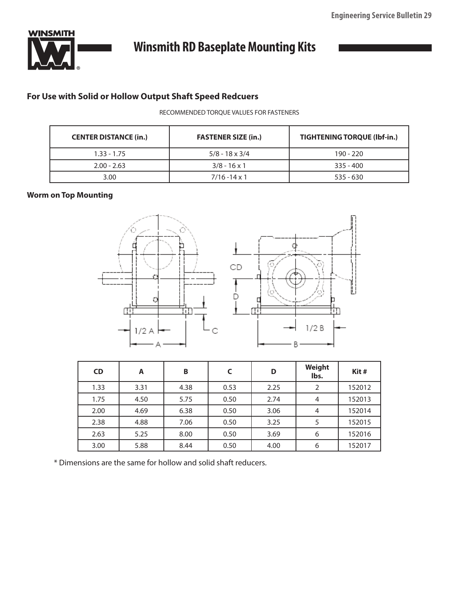

# **Winsmith RD Baseplate Mounting Kits**

## **For Use with Solid or Hollow Output Shaft Speed Redcuers**

### RECOMMENDED TORQUE VALUES FOR FASTENERS

| <b>CENTER DISTANCE (in.)</b> | <b>FASTENER SIZE (in.)</b> | <b>TIGHTENING TORQUE (Ibf-in.)</b> |
|------------------------------|----------------------------|------------------------------------|
| $1.33 - 1.75$                | $5/8 - 18 \times 3/4$      | $190 - 220$                        |
| $2.00 - 2.63$                | $3/8 - 16 \times 1$        | $335 - 400$                        |
| 3.00                         | $7/16 - 14 \times 1$       | 535 - 630                          |

### **Worm on Top Mounting**



| <b>CD</b> | A    | B    | C    | D    | Weight<br>lbs. | Kit#   |
|-----------|------|------|------|------|----------------|--------|
| 1.33      | 3.31 | 4.38 | 0.53 | 2.25 |                | 152012 |
| 1.75      | 4.50 | 5.75 | 0.50 | 2.74 |                | 152013 |
| 2.00      | 4.69 | 6.38 | 0.50 | 3.06 | 4              | 152014 |
| 2.38      | 4.88 | 7.06 | 0.50 | 3.25 |                | 152015 |
| 2.63      | 5.25 | 8.00 | 0.50 | 3.69 | 6              | 152016 |
| 3.00      | 5.88 | 8.44 | 0.50 | 4.00 | 6              | 152017 |

\* Dimensions are the same for hollow and solid shaft reducers.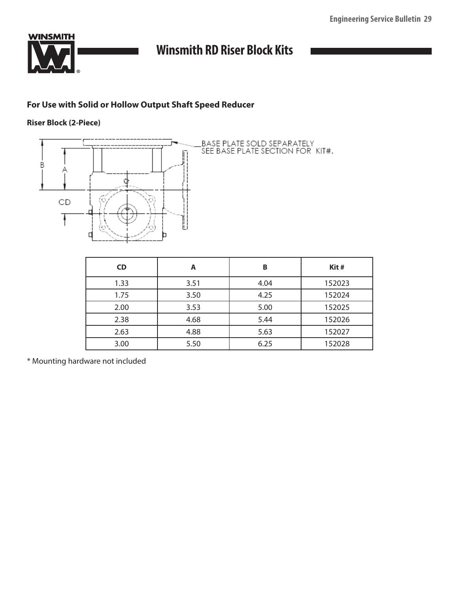

## **Winsmith RD Riser Block Kits**

### **For Use with Solid or Hollow Output Shaft Speed Reducer**

### **Riser Block (2-Piece)**



| <b>CD</b> | A    | B    | Kit#   |
|-----------|------|------|--------|
| 1.33      | 3.51 | 4.04 | 152023 |
| 1.75      | 3.50 | 4.25 | 152024 |
| 2.00      | 3.53 | 5.00 | 152025 |
| 2.38      | 4.68 | 5.44 | 152026 |
| 2.63      | 4.88 | 5.63 | 152027 |
| 3.00      | 5.50 | 6.25 | 152028 |

\* Mounting hardware not included